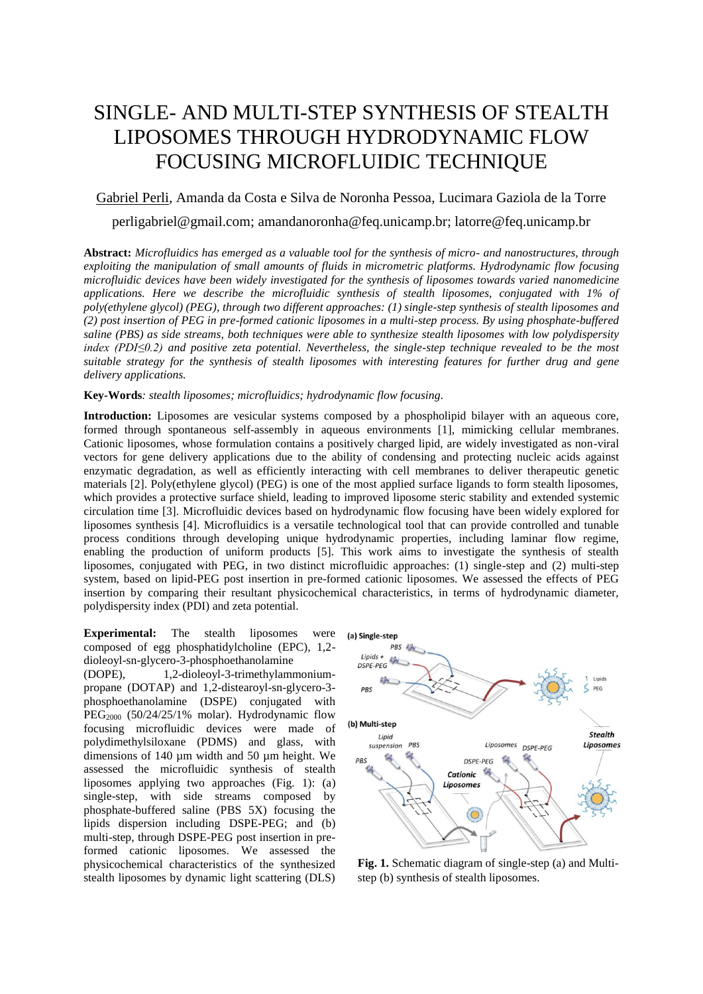## SINGLE- AND MULTI-STEP SYNTHESIS OF STEALTH LIPOSOMES THROUGH HYDRODYNAMIC FLOW FOCUSING MICROFLUIDIC TECHNIQUE

## Gabriel Perli, Amanda da Costa e Silva de Noronha Pessoa, Lucimara Gaziola de la Torre

perligabriel@gmail.com; amandanoronha@feq.unicamp.br; latorre@feq.unicamp.br

**Abstract:** *Microfluidics has emerged as a valuable tool for the synthesis of micro- and nanostructures, through exploiting the manipulation of small amounts of fluids in micrometric platforms. Hydrodynamic flow focusing microfluidic devices have been widely investigated for the synthesis of liposomes towards varied nanomedicine applications. Here we describe the microfluidic synthesis of stealth liposomes, conjugated with 1% of poly(ethylene glycol) (PEG), through two different approaches: (1) single-step synthesis of stealth liposomes and (2) post insertion of PEG in pre-formed cationic liposomes in a multi-step process. By using phosphate-buffered saline (PBS) as side streams, both techniques were able to synthesize stealth liposomes with low polydispersity index (PDI≤0.2) and positive zeta potential. Nevertheless, the single-step technique revealed to be the most suitable strategy for the synthesis of stealth liposomes with interesting features for further drug and gene delivery applications.*

## **Key-Words***: stealth liposomes; microfluidics; hydrodynamic flow focusing.*

**Introduction:** Liposomes are vesicular systems composed by a phospholipid bilayer with an aqueous core, formed through spontaneous self-assembly in aqueous environments [1], mimicking cellular membranes. Cationic liposomes, whose formulation contains a positively charged lipid, are widely investigated as non-viral vectors for gene delivery applications due to the ability of condensing and protecting nucleic acids against enzymatic degradation, as well as efficiently interacting with cell membranes to deliver therapeutic genetic materials [2]. Poly(ethylene glycol) (PEG) is one of the most applied surface ligands to form stealth liposomes, which provides a protective surface shield, leading to improved liposome steric stability and extended systemic circulation time [3]. Microfluidic devices based on hydrodynamic flow focusing have been widely explored for liposomes synthesis [4]. Microfluidics is a versatile technological tool that can provide controlled and tunable process conditions through developing unique hydrodynamic properties, including laminar flow regime, enabling the production of uniform products [5]. This work aims to investigate the synthesis of stealth liposomes, conjugated with PEG, in two distinct microfluidic approaches: (1) single-step and (2) multi-step system, based on lipid-PEG post insertion in pre-formed cationic liposomes. We assessed the effects of PEG insertion by comparing their resultant physicochemical characteristics, in terms of hydrodynamic diameter, polydispersity index (PDI) and zeta potential.

**Experimental:** The stealth liposomes were composed of egg phosphatidylcholine (EPC), 1,2 dioleoyl-sn-glycero-3-phosphoethanolamine

(DOPE), 1,2-dioleoyl-3-trimethylammoniumpropane (DOTAP) and 1,2-distearoyl-sn-glycero-3 phosphoethanolamine (DSPE) conjugated with  $\text{PEG}_{2000}$  (50/24/25/1% molar). Hydrodynamic flow focusing microfluidic devices were made of polydimethylsiloxane (PDMS) and glass, with dimensions of 140 µm width and 50 µm height. We assessed the microfluidic synthesis of stealth liposomes applying two approaches (Fig. 1): (a) single-step, with side streams composed by phosphate-buffered saline (PBS 5X) focusing the lipids dispersion including DSPE-PEG; and (b) multi-step, through DSPE-PEG post insertion in preformed cationic liposomes. We assessed the physicochemical characteristics of the synthesized stealth liposomes by dynamic light scattering (DLS)



**Fig. 1.** Schematic diagram of single-step (a) and Multistep (b) synthesis of stealth liposomes.